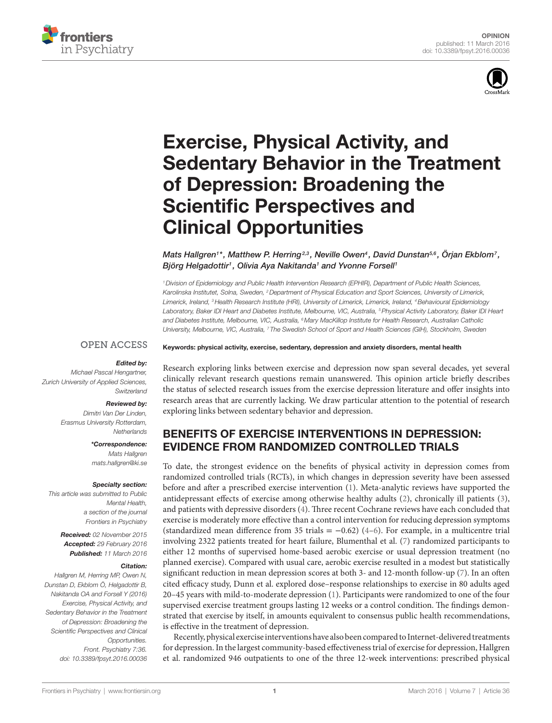



# [Exercise, physical Activity, and](http://www.frontiersin.org/Journal/10.3389/fpsyt.2016.00036/abstract)  [Sedentary Behavior in the Treatment](http://www.frontiersin.org/Journal/10.3389/fpsyt.2016.00036/abstract)  [of Depression: Broadening the](http://www.frontiersin.org/Journal/10.3389/fpsyt.2016.00036/abstract)  **Scientific Perspectives and** [Clinical Opportunities](http://www.frontiersin.org/Journal/10.3389/fpsyt.2016.00036/abstract)

*[Mats Hallgren](http://loop.frontiersin.org/people/288367/overview)1 \*, Matthew P. Herring2,3 , Neville Owen4 , David Dunstan5,6 , [Örjan Ekblom](http://loop.frontiersin.org/people/308487/overview)7 , Björg Helgadottir1 , Olivia Aya Nakitanda1 and [Yvonne Forsell1](http://loop.frontiersin.org/people/68964/overview)*

*1Division of Epidemiology and Public Health Intervention Research (EPHIR), Department of Public Health Sciences, Karolinska Institutet, Solna, Sweden, 2Department of Physical Education and Sport Sciences, University of Limerick, Limerick, Ireland, 3Health Research Institute (HRI), University of Limerick, Limerick, Ireland, 4Behavioural Epidemiology*  Laboratory, Baker IDI Heart and Diabetes Institute, Melbourne, VIC, Australia, <sup>5</sup>Physical Activity Laboratory, Baker IDI Heart *and Diabetes Institute, Melbourne, VIC, Australia, 6Mary MacKillop Institute for Health Research, Australian Catholic University, Melbourne, VIC, Australia, 7 The Swedish School of Sport and Health Sciences (GIH), Stockholm, Sweden*

### **OPEN ACCESS**

### *Edited by:*

*Michael Pascal Hengartner, Zurich University of Applied Sciences, Switzerland*

#### *Reviewed by:*

*Dimitri Van Der Linden, Erasmus University Rotterdam, Netherlands*

#### *\*Correspondence:*

*Mats Hallgren [mats.hallgren@ki.se](mailto:mats.hallgren@ki.se)*

#### *Specialty section:*

*This article was submitted to Public Mental Health, a section of the journal Frontiers in Psychiatry*

> *Received: 02 November 2015 Accepted: 29 February 2016 Published: 11 March 2016*

#### *Citation:*

*Hallgren M, Herring MP, Owen N, Dunstan D, Ekblom Ö, Helgadottir B, Nakitanda OA and Forsell Y (2016) Exercise, Physical Activity, and Sedentary Behavior in the Treatment of Depression: Broadening the Scientific Perspectives and Clinical Opportunities. Front. Psychiatry 7:36. doi: [10.3389/fpsyt.2016.00036](http://dx.doi.org/10.3389/fpsyt.2016.00036)* Keywords: physical activity, exercise, sedentary, depression and anxiety disorders, mental health

Research exploring links between exercise and depression now span several decades, yet several clinically relevant research questions remain unanswered. This opinion article briefly describes the status of selected research issues from the exercise depression literature and offer insights into research areas that are currently lacking. We draw particular attention to the potential of research exploring links between sedentary behavior and depression.

# BENEFITS OF EXERCISE INTERVENTIONS IN DEPRESSION: EVIDENCE FROM RANDOMIZED CONTROLLED TRIALS

To date, the strongest evidence on the benefits of physical activity in depression comes from randomized controlled trials (RCTs), in which changes in depression severity have been assessed before and after a prescribed exercise intervention [\(1\)](#page-3-0). Meta-analytic reviews have supported the antidepressant effects of exercise among otherwise healthy adults [\(2\)](#page-3-1), chronically ill patients ([3](#page-3-2)), and patients with depressive disorders [\(4\)](#page-3-3). Three recent Cochrane reviews have each concluded that exercise is moderately more effective than a control intervention for reducing depression symptoms (standardized mean difference from 35 trials =  $-0.62$ ) ([4](#page-3-3)[–6\)](#page-3-4). For example, in a multicentre trial involving 2322 patients treated for heart failure, Blumenthal et al. ([7](#page-3-5)) randomized participants to either 12 months of supervised home-based aerobic exercise or usual depression treatment (no planned exercise). Compared with usual care, aerobic exercise resulted in a modest but statistically significant reduction in mean depression scores at both 3- and 12-month follow-up [\(7\)](#page-3-5). In an often cited efficacy study, Dunn et al. explored dose–response relationships to exercise in 80 adults aged 20–45 years with mild-to-moderate depression ([1](#page-3-0)). Participants were randomized to one of the four supervised exercise treatment groups lasting 12 weeks or a control condition. The findings demonstrated that exercise by itself, in amounts equivalent to consensus public health recommendations, is effective in the treatment of depression.

Recently, physical exercise interventions have also been compared to Internet-delivered treatments for depression. In the largest community-based effectiveness trial of exercise for depression, Hallgren et al. randomized 946 outpatients to one of the three 12-week interventions: prescribed physical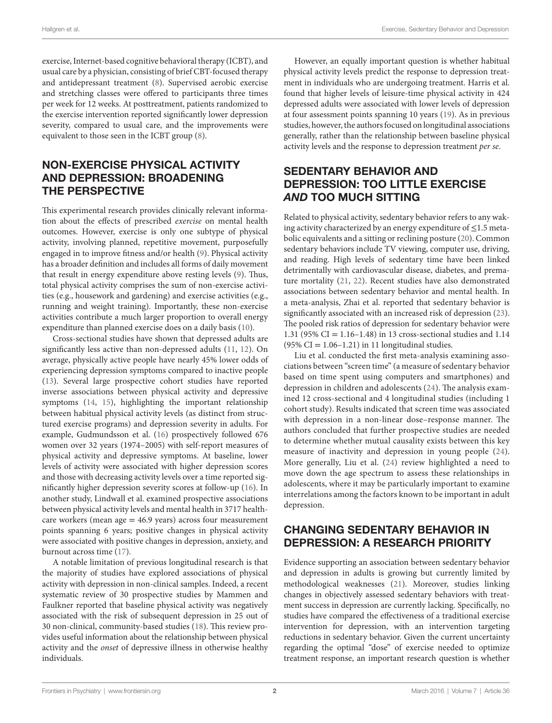exercise, Internet-based cognitive behavioral therapy (ICBT), and usual care by a physician, consisting of brief CBT-focused therapy and antidepressant treatment [\(8\)](#page-3-6). Supervised aerobic exercise and stretching classes were offered to participants three times per week for 12 weeks. At posttreatment, patients randomized to the exercise intervention reported significantly lower depression severity, compared to usual care, and the improvements were equivalent to those seen in the ICBT group [\(8\)](#page-3-6).

### NON-EXERCISE PHYSICAL ACTIVITY AND DEPRESSION: BROADENING THE PERSPECTIVE

This experimental research provides clinically relevant information about the effects of prescribed *exercise* on mental health outcomes. However, exercise is only one subtype of physical activity, involving planned, repetitive movement, purposefully engaged in to improve fitness and/or health ([9](#page-3-7)). Physical activity has a broader definition and includes all forms of daily movement that result in energy expenditure above resting levels ([9](#page-3-7)). Thus, total physical activity comprises the sum of non-exercise activities (e.g., housework and gardening) and exercise activities (e.g., running and weight training). Importantly, these non-exercise activities contribute a much larger proportion to overall energy expenditure than planned exercise does on a daily basis [\(10](#page-3-8)).

Cross-sectional studies have shown that depressed adults are significantly less active than non-depressed adults ([11,](#page-3-9) [12](#page-3-10)). On average, physically active people have nearly 45% lower odds of experiencing depression symptoms compared to inactive people ([13\)](#page-3-11). Several large prospective cohort studies have reported inverse associations between physical activity and depressive symptoms [\(14](#page-3-12), [15](#page-3-13)), highlighting the important relationship between habitual physical activity levels (as distinct from structured exercise programs) and depression severity in adults. For example, Gudmundsson et al. [\(16](#page-3-14)) prospectively followed 676 women over 32 years (1974–2005) with self-report measures of physical activity and depressive symptoms. At baseline, lower levels of activity were associated with higher depression scores and those with decreasing activity levels over a time reported significantly higher depression severity scores at follow-up ([16\)](#page-3-14). In another study, Lindwall et al. examined prospective associations between physical activity levels and mental health in 3717 healthcare workers (mean age  $= 46.9$  years) across four measurement points spanning 6 years; positive changes in physical activity were associated with positive changes in depression, anxiety, and burnout across time ([17\)](#page-3-15).

A notable limitation of previous longitudinal research is that the majority of studies have explored associations of physical activity with depression in non-clinical samples. Indeed, a recent systematic review of 30 prospective studies by Mammen and Faulkner reported that baseline physical activity was negatively associated with the risk of subsequent depression in 25 out of 30 non-clinical, community-based studies [\(18](#page-3-16)). This review provides useful information about the relationship between physical activity and the *onset* of depressive illness in otherwise healthy individuals.

However, an equally important question is whether habitual physical activity levels predict the response to depression treatment in individuals who are undergoing treatment. Harris et al. found that higher levels of leisure-time physical activity in 424 depressed adults were associated with lower levels of depression at four assessment points spanning 10 years [\(19](#page-3-17)). As in previous studies, however, the authors focused on longitudinal associations generally, rather than the relationship between baseline physical activity levels and the response to depression treatment *per se*.

# SEDENTARY BEHAVIOR AND DEPRESSION: TOO LITTLE EXERCISE *AND* TOO MUCH SITTING

Related to physical activity, sedentary behavior refers to any waking activity characterized by an energy expenditure of ≤1.5 metabolic equivalents and a sitting or reclining posture [\(20](#page-3-18)). Common sedentary behaviors include TV viewing, computer use, driving, and reading. High levels of sedentary time have been linked detrimentally with cardiovascular disease, diabetes, and premature mortality ([21,](#page-3-19) [22\)](#page-3-20). Recent studies have also demonstrated associations between sedentary behavior and mental health. In a meta-analysis, Zhai et al. reported that sedentary behavior is significantly associated with an increased risk of depression [\(23](#page-3-21)). The pooled risk ratios of depression for sedentary behavior were 1.31 (95% CI = 1.16–1.48) in 13 cross-sectional studies and 1.14  $(95\% \text{ CI} = 1.06 - 1.21)$  in 11 longitudinal studies.

Liu et al. conducted the first meta-analysis examining associations between "screen time" (a measure of sedentary behavior based on time spent using computers and smartphones) and depression in children and adolescents [\(24\)](#page-3-22). The analysis examined 12 cross-sectional and 4 longitudinal studies (including 1 cohort study). Results indicated that screen time was associated with depression in a non-linear dose–response manner. The authors concluded that further prospective studies are needed to determine whether mutual causality exists between this key measure of inactivity and depression in young people ([24](#page-3-22)). More generally, Liu et al. [\(24\)](#page-3-22) review highlighted a need to move down the age spectrum to assess these relationships in adolescents, where it may be particularly important to examine interrelations among the factors known to be important in adult depression.

### CHANGING SEDENTARY BEHAVIOR IN DEPRESSION: A RESEARCH PRIORITY

Evidence supporting an association between sedentary behavior and depression in adults is growing but currently limited by methodological weaknesses ([21\)](#page-3-19). Moreover, studies linking changes in objectively assessed sedentary behaviors with treatment success in depression are currently lacking. Specifically, no studies have compared the effectiveness of a traditional exercise intervention for depression, with an intervention targeting reductions in sedentary behavior. Given the current uncertainty regarding the optimal "dose" of exercise needed to optimize treatment response, an important research question is whether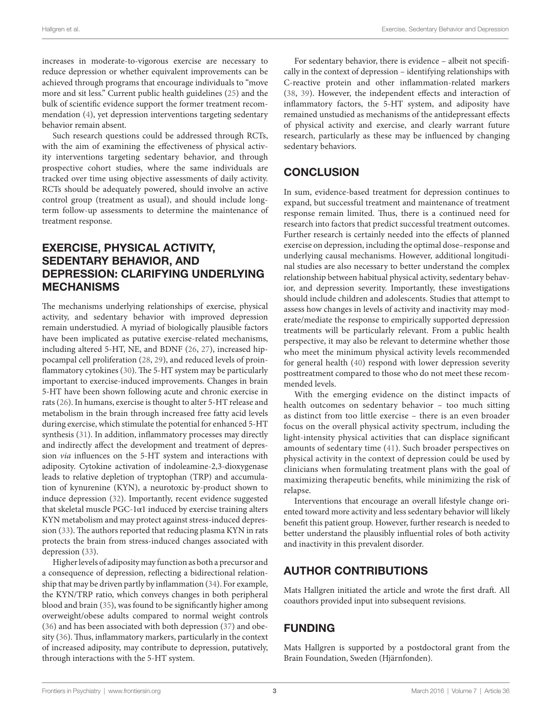Hallgren et al. Exercise, Sedentary Behavior and Depression

increases in moderate-to-vigorous exercise are necessary to reduce depression or whether equivalent improvements can be achieved through programs that encourage individuals to "move more and sit less." Current public health guidelines ([25\)](#page-3-23) and the bulk of scientific evidence support the former treatment recommendation ([4](#page-3-3)), yet depression interventions targeting sedentary behavior remain absent.

Such research questions could be addressed through RCTs, with the aim of examining the effectiveness of physical activity interventions targeting sedentary behavior, and through prospective cohort studies, where the same individuals are tracked over time using objective assessments of daily activity. RCTs should be adequately powered, should involve an active control group (treatment as usual), and should include longterm follow-up assessments to determine the maintenance of treatment response.

### EXERCISE, PHYSICAL ACTIVITY, SEDENTARY BEHAVIOR, AND DEPRESSION: CLARIFYING UNDERLYING MECHANISMS

The mechanisms underlying relationships of exercise, physical activity, and sedentary behavior with improved depression remain understudied. A myriad of biologically plausible factors have been implicated as putative exercise-related mechanisms, including altered 5-HT, NE, and BDNF [\(26](#page-3-24), [27](#page-3-25)), increased hippocampal cell proliferation [\(28](#page-3-26), [29\)](#page-3-27), and reduced levels of proinflammatory cytokines ([30](#page-3-28)). The 5-HT system may be particularly important to exercise-induced improvements. Changes in brain 5-HT have been shown following acute and chronic exercise in rats [\(26](#page-3-24)). In humans, exercise is thought to alter 5-HT release and metabolism in the brain through increased free fatty acid levels during exercise, which stimulate the potential for enhanced 5-HT synthesis [\(31](#page-3-29)). In addition, inflammatory processes may directly and indirectly affect the development and treatment of depression *via* influences on the 5-HT system and interactions with adiposity. Cytokine activation of indoleamine-2,3-dioxygenase leads to relative depletion of tryptophan (TRP) and accumulation of kynurenine (KYN), a neurotoxic by-product shown to induce depression [\(32](#page-3-30)). Importantly, recent evidence suggested that skeletal muscle PGC-1α1 induced by exercise training alters KYN metabolism and may protect against stress-induced depression [\(33\)](#page-3-31). The authors reported that reducing plasma KYN in rats protects the brain from stress-induced changes associated with depression ([33\)](#page-3-31).

Higher levels of adiposity may function as both a precursor and a consequence of depression, reflecting a bidirectional relationship that may be driven partly by inflammation ([34\)](#page-3-32). For example, the KYN/TRP ratio, which conveys changes in both peripheral blood and brain ([35\)](#page-3-33), was found to be significantly higher among overweight/obese adults compared to normal weight controls ([36\)](#page-3-34) and has been associated with both depression [\(37](#page-3-35)) and obesity ([36\)](#page-3-34). Thus, inflammatory markers, particularly in the context of increased adiposity, may contribute to depression, putatively, through interactions with the 5-HT system.

For sedentary behavior, there is evidence – albeit not specifically in the context of depression – identifying relationships with C-reactive protein and other inflammation-related markers [\(38,](#page-3-36) [39\)](#page-3-37). However, the independent effects and interaction of inflammatory factors, the 5-HT system, and adiposity have remained unstudied as mechanisms of the antidepressant effects of physical activity and exercise, and clearly warrant future research, particularly as these may be influenced by changing sedentary behaviors.

# **CONCLUSION**

In sum, evidence-based treatment for depression continues to expand, but successful treatment and maintenance of treatment response remain limited. Thus, there is a continued need for research into factors that predict successful treatment outcomes. Further research is certainly needed into the effects of planned exercise on depression, including the optimal dose–response and underlying causal mechanisms. However, additional longitudinal studies are also necessary to better understand the complex relationship between habitual physical activity, sedentary behavior, and depression severity. Importantly, these investigations should include children and adolescents. Studies that attempt to assess how changes in levels of activity and inactivity may moderate/mediate the response to empirically supported depression treatments will be particularly relevant. From a public health perspective, it may also be relevant to determine whether those who meet the minimum physical activity levels recommended for general health ([40\)](#page-4-0) respond with lower depression severity posttreatment compared to those who do not meet these recommended levels.

With the emerging evidence on the distinct impacts of health outcomes on sedentary behavior – too much sitting as distinct from too little exercise – there is an even broader focus on the overall physical activity spectrum, including the light-intensity physical activities that can displace significant amounts of sedentary time ([41](#page-4-1)). Such broader perspectives on physical activity in the context of depression could be used by clinicians when formulating treatment plans with the goal of maximizing therapeutic benefits, while minimizing the risk of relapse.

Interventions that encourage an overall lifestyle change oriented toward more activity and less sedentary behavior will likely benefit this patient group. However, further research is needed to better understand the plausibly influential roles of both activity and inactivity in this prevalent disorder.

# AUTHOR CONTRIBUTIONS

Mats Hallgren initiated the article and wrote the first draft. All coauthors provided input into subsequent revisions.

# FUNDING

Mats Hallgren is supported by a postdoctoral grant from the Brain Foundation, Sweden (Hjärnfonden).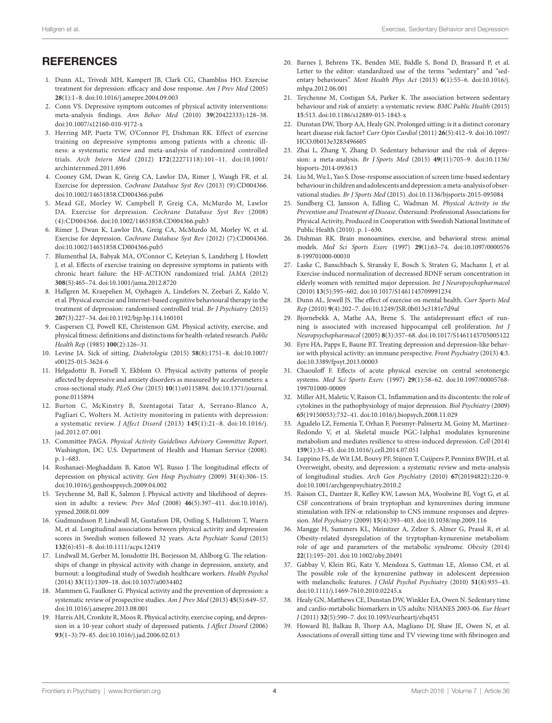### **REFERENCES**

- <span id="page-3-0"></span>1. Dunn AL, Trivedi MH, Kampert JB, Clark CG, Chambliss HO. Exercise treatment for depression: efficacy and dose response. *Am J Prev Med* (2005) **28**(1):1–8. doi[:10.1016/j.amepre.2004.09.003](http://dx.doi.org/10.1016/j.amepre.2004.09.003)
- <span id="page-3-1"></span>2. Conn VS. Depressive symptom outcomes of physical activity interventions: meta-analysis findings. *Ann Behav Med* (2010) **39**(20422333):128–38. doi:[10.1007/s12160-010-9172-x](http://dx.doi.org/10.1007/s12160-010-9172-x)
- <span id="page-3-2"></span>3. Herring MP, Puetz TW, O'Connor PJ, Dishman RK. Effect of exercise training on depressive symptoms among patients with a chronic illness: a systematic review and meta-analysis of randomized controlled trials. *Arch Intern Med* (2012) **172**(22271118):101–11. doi[:10.1001/](http://dx.doi.org/10.1001/archinternmed.2011.696) [archinternmed.2011.696](http://dx.doi.org/10.1001/archinternmed.2011.696)
- <span id="page-3-3"></span>4. Cooney GM, Dwan K, Greig CA, Lawlor DA, Rimer J, Waugh FR, et al. Exercise for depression. *Cochrane Database Syst Rev* (2013) (9):CD004366. doi:[10.1002/14651858.CD004366.pub6](http://dx.doi.org/10.1002/14651858.CD004366.pub6)
- 5. Mead GE, Morley W, Campbell P, Greig CA, McMurdo M, Lawlor DA. Exercise for depression. *Cochrane Database Syst Rev* (2008) (4):CD004366. doi[:10.1002/14651858.CD004366.pub3](http://dx.doi.org/10.1002/14651858.CD004366.pub3)
- <span id="page-3-4"></span>6. Rimer J, Dwan K, Lawlor DA, Greig CA, McMurdo M, Morley W, et al. Exercise for depression. *Cochrane Database Syst Rev* (2012) (7):CD004366. doi:[10.1002/14651858.CD004366.pub5](http://dx.doi.org/10.1002/14651858.CD004366.pub5)
- <span id="page-3-5"></span>7. Blumenthal JA, Babyak MA, O'Connor C, Keteyian S, Landzberg J, Howlett J, et al. Effects of exercise training on depressive symptoms in patients with chronic heart failure: the HF-ACTION randomized trial. *JAMA* (2012) **308**(5):465–74. doi:[10.1001/jama.2012.8720](http://dx.doi.org/10.1001/jama.2012.8720)
- <span id="page-3-6"></span>8. Hallgren M, Kraepelien M, Ojehagen A, Lindefors N, Zeebari Z, Kaldo V, et al. Physical exercise and Internet-based cognitive behavioural therapy in the treatment of depression: randomised controlled trial. *Br J Psychiatry* (2015) **207**(3):227–34. doi:[10.1192/bjp.bp.114.160101](http://dx.doi.org/10.1192/bjp.bp.114.160101)
- <span id="page-3-7"></span>9. Caspersen CJ, Powell KE, Christenson GM. Physical activity, exercise, and physical fitness: definitions and distinctions for health-related research. *Public Health Rep* (1985) **100**(2):126–31.
- <span id="page-3-8"></span>10. Levine JA. Sick of sitting. *Diabetologia* (2015) **58**(8):1751–8. doi[:10.1007/](http://dx.doi.org/10.1007/s00125-015-3624-6) [s00125-015-3624-6](http://dx.doi.org/10.1007/s00125-015-3624-6)
- <span id="page-3-9"></span>11. Helgadottir B, Forsell Y, Ekblom O. Physical activity patterns of people affected by depressive and anxiety disorders as measured by accelerometers: a cross-sectional study. *PLoS One* (2015) **10**(1):e0115894. doi:[10.1371/journal.](http://dx.doi.org/10.1371/journal.pone.0115894) [pone.0115894](http://dx.doi.org/10.1371/journal.pone.0115894)
- <span id="page-3-10"></span>12. Burton C, McKinstry B, Szentagotai Tatar A, Serrano-Blanco A, Pagliari C, Wolters M. Activity monitoring in patients with depression: a systematic review. *J Affect Disord* (2013) **145**(1):21–8. doi:[10.1016/j.](http://dx.doi.org/10.1016/j.jad.2012.07.001) [jad.2012.07.001](http://dx.doi.org/10.1016/j.jad.2012.07.001)
- <span id="page-3-11"></span>13. Committee PAGA. *Physical Activity Guidelines Advisory Committee Report*. Washington, DC: U.S. Department of Health and Human Service (2008). p. 1–683.
- <span id="page-3-12"></span>14. Roshanaei-Moghaddam B, Katon WJ, Russo J. The longitudinal effects of depression on physical activity. *Gen Hosp Psychiatry* (2009) **31**(4):306–15. doi:[10.1016/j.genhosppsych.2009.04.002](http://dx.doi.org/10.1016/j.genhosppsych.2009.04.002)
- <span id="page-3-13"></span>15. Teychenne M, Ball K, Salmon J. Physical activity and likelihood of depression in adults: a review. *Prev Med* (2008) **46**(5):397–411. doi:[10.1016/j.](http://dx.doi.org/10.1016/j.ypmed.2008.01.009) [ypmed.2008.01.009](http://dx.doi.org/10.1016/j.ypmed.2008.01.009)
- <span id="page-3-14"></span>16. Gudmundsson P, Lindwall M, Gustafson DR, Ostling S, Hallstrom T, Waern M, et al. Longitudinal associations between physical activity and depression scores in Swedish women followed 32 years. *Acta Psychiatr Scand* (2015) **132**(6):451–8. doi[:10.1111/acps.12419](http://dx.doi.org/10.1111/acps.12419)
- <span id="page-3-15"></span>17. Lindwall M, Gerber M, Jonsdottir IH, Borjesson M, Ahlborg G. The relationships of change in physical activity with change in depression, anxiety, and burnout: a longitudinal study of Swedish healthcare workers. *Health Psychol* (2014) **33**(11):1309–18. doi:[10.1037/a0034402](http://dx.doi.org/10.1037/a0034402)
- <span id="page-3-16"></span>18. Mammen G, Faulkner G. Physical activity and the prevention of depression: a systematic review of prospective studies. *Am J Prev Med* (2013) **45**(5):649–57. doi:[10.1016/j.amepre.2013.08.001](http://dx.doi.org/10.1016/j.amepre.2013.08.001)
- <span id="page-3-17"></span>19. Harris AH, Cronkite R, Moos R. Physical activity, exercise coping, and depression in a 10-year cohort study of depressed patients. *J Affect Disord* (2006) **93**(1–3):79–85. doi:[10.1016/j.jad.2006.02.013](http://dx.doi.org/10.1016/j.jad.2006.02.013)
- <span id="page-3-18"></span>20. Barnes J, Behrens TK, Benden ME, Biddle S, Bond D, Brassard P, et al. Letter to the editor: standardized use of the terms "sedentary" and "sedentary behaviours". *Ment Health Phys Act* (2013) **6**(1):55–6. doi:[10.1016/j.](http://dx.doi.org/10.1016/j.mhpa.2012.06.001) [mhpa.2012.06.001](http://dx.doi.org/10.1016/j.mhpa.2012.06.001)
- <span id="page-3-19"></span>21. Teychenne M, Costigan SA, Parker K. The association between sedentary behaviour and risk of anxiety: a systematic review. *BMC Public Health* (2015) **15**:513. doi:[10.1186/s12889-015-1843-x](http://dx.doi.org/10.1186/s12889-015-1843-x)
- <span id="page-3-20"></span>22. Dunstan DW, Thorp AA, Healy GN. Prolonged sitting: is it a distinct coronary heart disease risk factor? *Curr Opin Cardiol* (2011) **26**(5):412–9. doi[:10.1097/](http://dx.doi.org/10.1097/HCO.0b013e3283496605) [HCO.0b013e3283496605](http://dx.doi.org/10.1097/HCO.0b013e3283496605)
- <span id="page-3-21"></span>23. Zhai L, Zhang Y, Zhang D. Sedentary behaviour and the risk of depression: a meta-analysis. *Br J Sports Med* (2015) **49**(11):705–9. doi[:10.1136/](http://dx.doi.org/10.1136/bjsports-2014-093613) [bjsports-2014-093613](http://dx.doi.org/10.1136/bjsports-2014-093613)
- <span id="page-3-22"></span>24. Liu M, Wu L, Yao S. Dose-response association of screen time-based sedentary behaviour in children and adolescents and depression: a meta-analysis of observational studies. *Br J Sports Med* (2015). doi[:10.1136/bjsports-2015-095084](http://dx.doi.org/10.1136/bjsports-2015-095084)
- <span id="page-3-23"></span>25. Sundberg CJ, Jansson A, Edling C, Wadman M. *Physical Activity in the Prevention and Treatment of Disease*. Östersund: Professional Associations for Physical Activity, Produced in Cooperation with Swedish National Institute of Public Health (2010). p. 1–630.
- <span id="page-3-24"></span>26. Dishman RK. Brain monoamines, exercise, and behavioral stress: animal models. *Med Sci Sports Exerc* (1997) **29**(1):63–74. doi:[10.1097/0000576](http://dx.doi.org/10.1097/00005768-�199701000-00010) [8-199701000-00010](http://dx.doi.org/10.1097/00005768-�199701000-00010)
- <span id="page-3-25"></span>27. Laske C, Banschbach S, Stransky E, Bosch S, Straten G, Machann J, et al. Exercise-induced normalization of decreased BDNF serum concentration in elderly women with remitted major depression. *Int J Neuropsychopharmacol* (2010) **13**(5):595–602. doi:[10.1017/S1461145709991234](http://dx.doi.org/10.1017/S1461145709991234)
- <span id="page-3-26"></span>28. Dunn AL, Jewell JS. The effect of exercise on mental health. *Curr Sports Med Rep* (2010) **9**(4):202–7. doi:[10.1249/JSR.0b013e3181e7d9af](http://dx.doi.org/10.1249/JSR.0b013e3181e7d9af)
- <span id="page-3-27"></span>29. Bjornebekk A, Mathe AA, Brene S. The antidepressant effect of running is associated with increased hippocampal cell proliferation. *Int J Neuropsychopharmacol* (2005) **8**(3):357–68. doi:[10.1017/S1461145705005122](http://dx.doi.org/10.1017/S1461145705005122)
- <span id="page-3-28"></span>30. Eyre HA, Papps E, Baune BT. Treating depression and depression-like behavior with physical activity: an immune perspective. *Front Psychiatry* (2013) **4**:3. doi:[10.3389/fpsyt.2013.00003](http://dx.doi.org/10.3389/fpsyt.2013.00003)
- <span id="page-3-29"></span>31. Chaouloff F. Effects of acute physical exercise on central serotonergic systems. *Med Sci Sports Exerc* (1997) **29**(1):58–62. doi:[10.1097/00005768-](http://dx.doi.org/10.1097/00005768-199701000-00009) [199701000-00009](http://dx.doi.org/10.1097/00005768-199701000-00009)
- <span id="page-3-30"></span>32. Miller AH, Maletic V, Raison CL. Inflammation and its discontents: the role of cytokines in the pathophysiology of major depression. *Biol Psychiatry* (2009) **65**(19150053):732–41. doi[:10.1016/j.biopsych.2008.11.029](http://dx.doi.org/10.1016/j.biopsych.2008.11.029)
- <span id="page-3-31"></span>33. Agudelo LZ, Femenia T, Orhan F, Porsmyr-Palmertz M, Goiny M, Martinez-Redondo V, et al. Skeletal muscle PGC-1alpha1 modulates kynurenine metabolism and mediates resilience to stress-induced depression. *Cell* (2014) **159**(1):33–45. doi[:10.1016/j.cell.2014.07.051](http://dx.doi.org/10.1016/j.cell.2014.07.051)
- <span id="page-3-32"></span>34. Luppino FS, de Wit LM, Bouvy PF, Stijnen T, Cuijpers P, Penninx BWJH, et al. Overweight, obesity, and depression: a systematic review and meta-analysis of longitudinal studies. *Arch Gen Psychiatry* (2010) **67**(20194822):220–9. doi:[10.1001/archgenpsychiatry.2010.2](http://dx.doi.org/10.1001/archgenpsychiatry.2010.2)
- <span id="page-3-33"></span>35. Raison CL, Dantzer R, Kelley KW, Lawson MA, Woolwine BJ, Vogt G, et al. CSF concentrations of brain tryptophan and kynurenines during immune stimulation with IFN-α: relationship to CNS immune responses and depression. *Mol Psychiatry* (2009) **15**(4):393–403. doi[:10.1038/mp.2009.116](http://dx.doi.org/10.1038/mp.2009.116)
- <span id="page-3-34"></span>36. Mangge H, Summers KL, Meinitzer A, Zelzer S, Almer G, Prassl R, et al. Obesity-related dysregulation of the tryptophan-kynurenine metabolism: role of age and parameters of the metabolic syndrome. *Obesity* (2014) **22**(1):195–201. doi[:10.1002/oby.20491](http://dx.doi.org/10.1002/oby.20491)
- <span id="page-3-35"></span>37. Gabbay V, Klein RG, Katz Y, Mendoza S, Guttman LE, Alonso CM, et al. The possible role of the kynurenine pathway in adolescent depression with melancholic features. *J Child Psychol Psychiatry* (2010) **51**(8):935–43. doi:[10.1111/j.1469-7610.2010.02245.x](http://dx.doi.org/10.1111/j.1469-7610.2010.02245.x)
- <span id="page-3-36"></span>38. Healy GN, Matthews CE, Dunstan DW, Winkler EA, Owen N. Sedentary time and cardio-metabolic biomarkers in US adults: NHANES 2003-06. *Eur Heart J* (2011) **32**(5):590–7. doi:[10.1093/eurheartj/ehq451](http://dx.doi.org/10.1093/eurheartj/ehq451)
- <span id="page-3-37"></span>39. Howard BJ, Balkau B, Thorp AA, Magliano DJ, Shaw JE, Owen N, et al. Associations of overall sitting time and TV viewing time with fibrinogen and